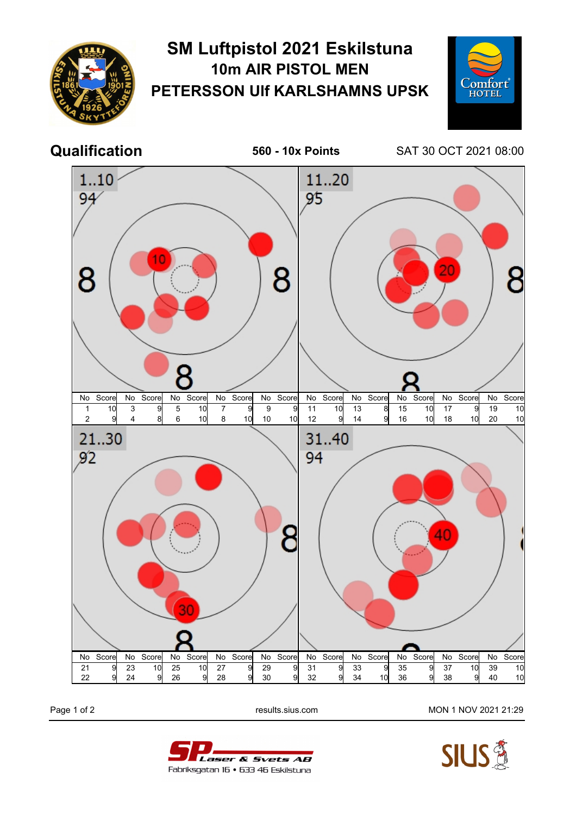

## **SM Luftpistol 2021 Eskilstuna 10m AIR PISTOL MEN PETERSSON Ulf KARLSHAMNS UPSK**



**Qualification 560 - 10x Points** SAT 30 OCT 2021 08:00



Laser & Svets AB Fabriksgatan 16 • 633 46 Eskilstuna

Page 1 of 2 results.sius.com MON 1 NOV 2021 21:29